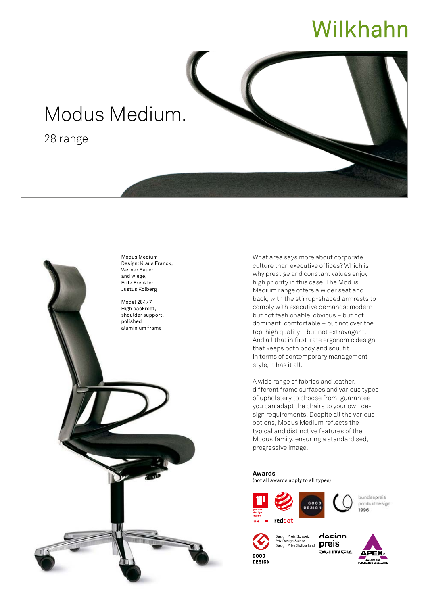## Wilkhahn

## Modus Medium.

28 range



What area says more about corporate culture than executive offices? Which is why prestige and constant values enjoy high priority in this case. The Modus Medium range offers a wider seat and back, with the stirrup-shaped armrests to comply with executive demands: modern – but not fashionable, obvious – but not dominant, comfortable – but not over the top, high quality – but not extravagant. And all that in first-rate ergonomic design that keeps both body and soul fit … In terms of contemporary management style, it has it all.

A wide range of fabrics and leather, different frame surfaces and various types of upholstery to choose from, guarantee you can adapt the chairs to your own design requirements. Despite all the various options, Modus Medium reflects the typical and distinctive features of the Modus family, ensuring a standardised, progressive image.

**Awards** (not all awards apply to all types)







hundespreis produktdesign 1996



dacian Design Preis Schweiz Prix Design Suisse<br>Design Prize Switzerland preis **SUITWEIZ**